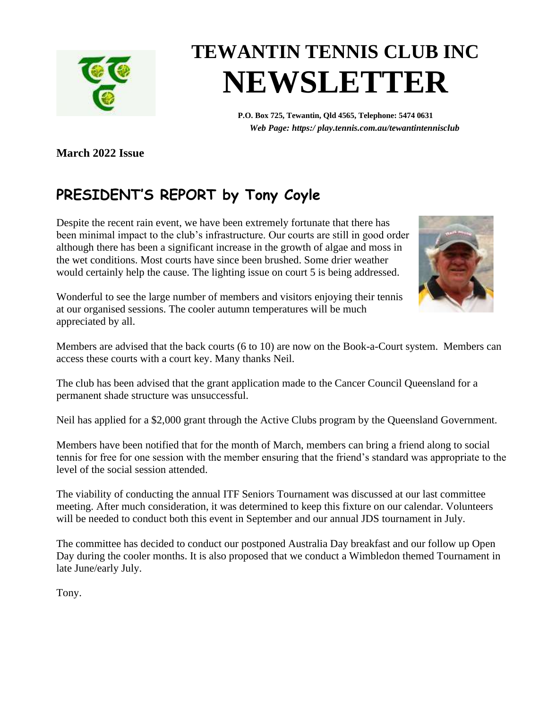

# **TEWANTIN TENNIS CLUB INC NEWSLETTER**

**P.O. Box 725, Tewantin, Qld 4565, Telephone: 5474 0631** *Web Page: https:/ play.tennis.com.au/tewantintennisclub*

**March 2022 Issue**

## **PRESIDENT'S REPORT by Tony Coyle**

Despite the recent rain event, we have been extremely fortunate that there has been minimal impact to the club's infrastructure. Our courts are still in good order although there has been a significant increase in the growth of algae and moss in the wet conditions. Most courts have since been brushed. Some drier weather would certainly help the cause. The lighting issue on court 5 is being addressed.



Wonderful to see the large number of members and visitors enjoying their tennis at our organised sessions. The cooler autumn temperatures will be much appreciated by all.

Members are advised that the back courts (6 to 10) are now on the Book-a-Court system. Members can access these courts with a court key. Many thanks Neil.

The club has been advised that the grant application made to the Cancer Council Queensland for a permanent shade structure was unsuccessful.

Neil has applied for a \$2,000 grant through the Active Clubs program by the Queensland Government.

Members have been notified that for the month of March, members can bring a friend along to social tennis for free for one session with the member ensuring that the friend's standard was appropriate to the level of the social session attended.

The viability of conducting the annual ITF Seniors Tournament was discussed at our last committee meeting. After much consideration, it was determined to keep this fixture on our calendar. Volunteers will be needed to conduct both this event in September and our annual JDS tournament in July.

The committee has decided to conduct our postponed Australia Day breakfast and our follow up Open Day during the cooler months. It is also proposed that we conduct a Wimbledon themed Tournament in late June/early July.

Tony.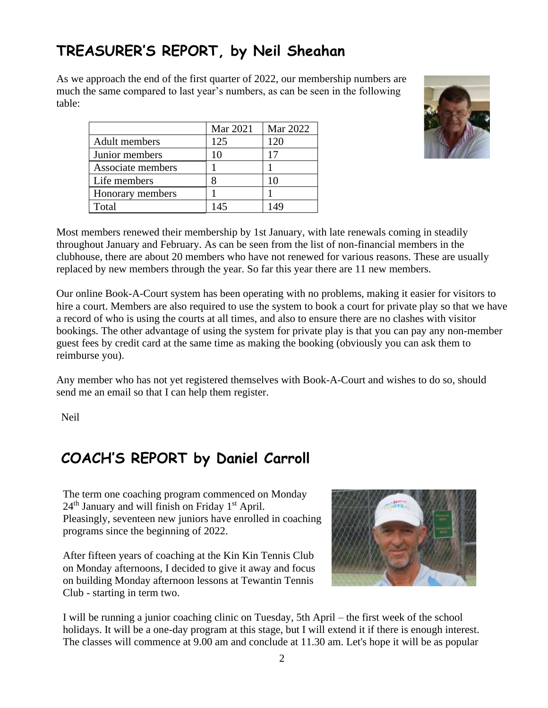## **TREASURER'S REPORT, by Neil Sheahan**

As we approach the end of the first quarter of 2022, our membership numbers are much the same compared to last year's numbers, as can be seen in the following table:

|                      | Mar 2021 | Mar 2022 |
|----------------------|----------|----------|
| <b>Adult</b> members | 125      | 120      |
| Junior members       | 10       | 17       |
| Associate members    |          |          |
| Life members         |          | 10       |
| Honorary members     |          |          |
| Total                | 145      | 149      |



Most members renewed their membership by 1st January, with late renewals coming in steadily throughout January and February. As can be seen from the list of non-financial members in the clubhouse, there are about 20 members who have not renewed for various reasons. These are usually replaced by new members through the year. So far this year there are 11 new members.

Our online Book-A-Court system has been operating with no problems, making it easier for visitors to hire a court. Members are also required to use the system to book a court for private play so that we have a record of who is using the courts at all times, and also to ensure there are no clashes with visitor bookings. The other advantage of using the system for private play is that you can pay any non-member guest fees by credit card at the same time as making the booking (obviously you can ask them to reimburse you).

Any member who has not yet registered themselves with Book-A-Court and wishes to do so, should send me an email so that I can help them register.

Neil

### **COACH'S REPORT by Daniel Carroll**

The term one coaching program commenced on Monday  $24<sup>th</sup>$  January and will finish on Friday 1<sup>st</sup> April. Pleasingly, seventeen new juniors have enrolled in coaching programs since the beginning of 2022.

After fifteen years of coaching at the Kin Kin Tennis Club on Monday afternoons, I decided to give it away and focus on building Monday afternoon lessons at Tewantin Tennis Club - starting in term two.



I will be running a junior coaching clinic on Tuesday, 5th April – the first week of the school holidays. It will be a one-day program at this stage, but I will extend it if there is enough interest. The classes will commence at 9.00 am and conclude at 11.30 am. Let's hope it will be as popular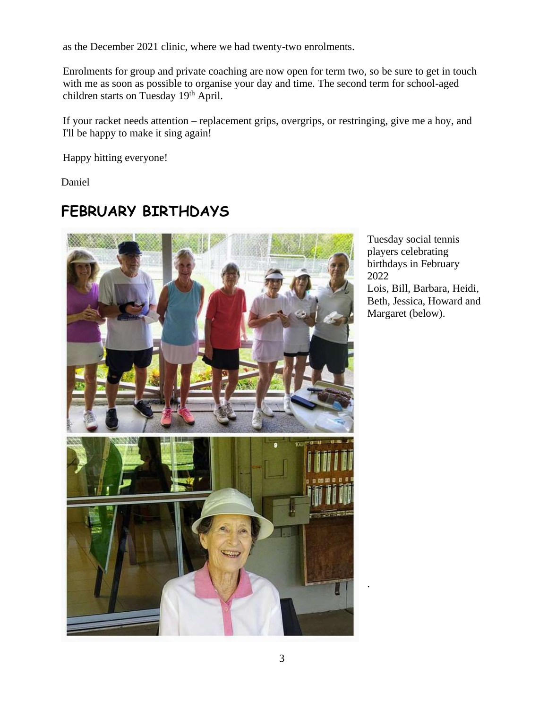as the December 2021 clinic, where we had twenty-two enrolments.

Enrolments for group and private coaching are now open for term two, so be sure to get in touch with me as soon as possible to organise your day and time. The second term for school-aged children starts on Tuesday 19<sup>th</sup> April.

If your racket needs attention – replacement grips, overgrips, or restringing, give me a hoy, and I'll be happy to make it sing again!

Happy hitting everyone!

Daniel

#### **FEBRUARY BIRTHDAYS**



Tuesday social tennis players celebrating birthdays in February 2022 Lois, Bill, Barbara, Heidi, Beth, Jessica, Howard and Margaret (below).

.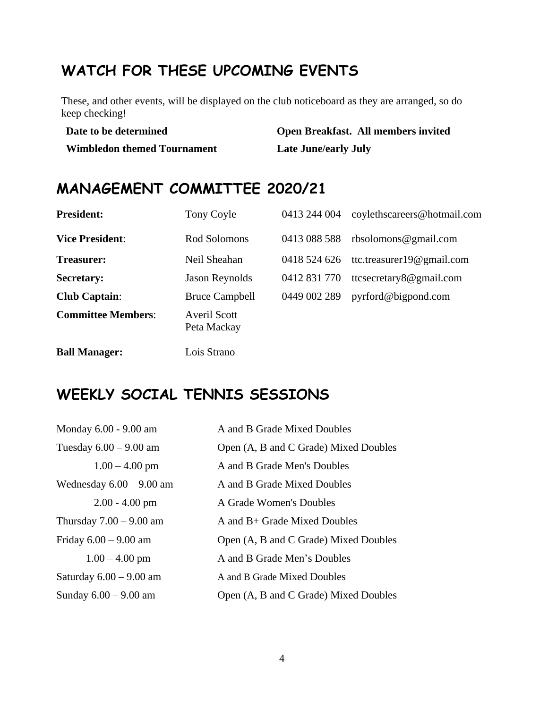## **WATCH FOR THESE UPCOMING EVENTS**

These, and other events, will be displayed on the club noticeboard as they are arranged, so do keep checking!

| Date to be determined              | Open Breakfast. All members invited |  |
|------------------------------------|-------------------------------------|--|
| <b>Wimbledon themed Tournament</b> | <b>Late June/early July</b>         |  |

#### **MANAGEMENT COMMITTEE 2020/21**

| <b>President:</b>         | Tony Coyle                         | 0413 244 004 | coylethscareers@hotmail.com   |
|---------------------------|------------------------------------|--------------|-------------------------------|
| <b>Vice President:</b>    | Rod Solomons                       | 0413 088 588 | rbsolomons@gmail.com          |
| Treasurer:                | Neil Sheahan                       | 0418 524 626 | ttc.treasurer19 $@$ gmail.com |
| <b>Secretary:</b>         | <b>Jason Reynolds</b>              | 0412 831 770 | ttcsecretary8@gmail.com       |
| <b>Club Captain:</b>      | <b>Bruce Campbell</b>              | 0449 002 289 | pyrford@bigpond.com           |
| <b>Committee Members:</b> | <b>Averil Scott</b><br>Peta Mackay |              |                               |
| <b>Ball Manager:</b>      | Lois Strano                        |              |                               |

#### **WEEKLY SOCIAL TENNIS SESSIONS**

| Monday 6.00 - 9.00 am      | A and B Grade Mixed Doubles           |
|----------------------------|---------------------------------------|
| Tuesday $6.00 - 9.00$ am   | Open (A, B and C Grade) Mixed Doubles |
| $1.00 - 4.00$ pm           | A and B Grade Men's Doubles           |
| Wednesday $6.00 - 9.00$ am | A and B Grade Mixed Doubles           |
| $2.00 - 4.00$ pm           | A Grade Women's Doubles               |
| Thursday $7.00 - 9.00$ am  | A and $B$ + Grade Mixed Doubles       |
| Friday $6.00 - 9.00$ am    | Open (A, B and C Grade) Mixed Doubles |
| $1.00 - 4.00$ pm           | A and B Grade Men's Doubles           |
| Saturday $6.00 - 9.00$ am  | A and B Grade Mixed Doubles           |
| Sunday $6.00 - 9.00$ am    | Open (A, B and C Grade) Mixed Doubles |